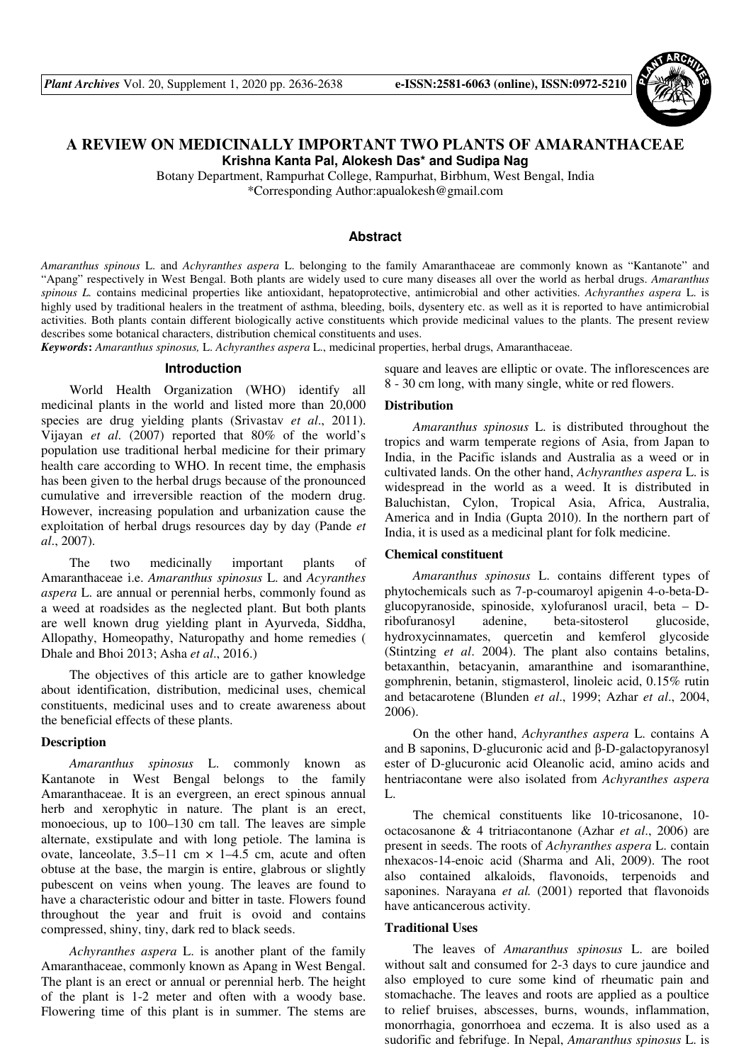

# **A REVIEW ON MEDICINALLY IMPORTANT TWO PLANTS OF AMARANTHACEAE Krishna Kanta Pal, Alokesh Das\* and Sudipa Nag**

Botany Department, Rampurhat College, Rampurhat, Birbhum, West Bengal, India \*Corresponding Author:apualokesh@gmail.com

### **Abstract**

*Amaranthus spinous* L. and *Achyranthes aspera* L. belonging to the family Amaranthaceae are commonly known as "Kantanote" and "Apang" respectively in West Bengal. Both plants are widely used to cure many diseases all over the world as herbal drugs. *Amaranthus spinous L.* contains medicinal properties like antioxidant, hepatoprotective, antimicrobial and other activities. *Achyranthes aspera* L. is highly used by traditional healers in the treatment of asthma, bleeding, boils, dysentery etc. as well as it is reported to have antimicrobial activities. Both plants contain different biologically active constituents which provide medicinal values to the plants. The present review describes some botanical characters, distribution chemical constituents and uses.

*Keywords***:** *Amaranthus spinosus,* L. *Achyranthes aspera* L., medicinal properties, herbal drugs, Amaranthaceae.

# **Introduction**

World Health Organization (WHO) identify all medicinal plants in the world and listed more than 20,000 species are drug yielding plants (Srivastav *et al*., 2011). Vijayan *et al*. (2007) reported that 80% of the world's population use traditional herbal medicine for their primary health care according to WHO. In recent time, the emphasis has been given to the herbal drugs because of the pronounced cumulative and irreversible reaction of the modern drug. However, increasing population and urbanization cause the exploitation of herbal drugs resources day by day (Pande *et al*., 2007).

The two medicinally important plants of Amaranthaceae i.e. *Amaranthus spinosus* L. and *Acyranthes aspera* L. are annual or perennial herbs, commonly found as a weed at roadsides as the neglected plant. But both plants are well known drug yielding plant in Ayurveda, Siddha, Allopathy, Homeopathy, Naturopathy and home remedies ( Dhale and Bhoi 2013; Asha *et al*., 2016.)

The objectives of this article are to gather knowledge about identification, distribution, medicinal uses, chemical constituents, medicinal uses and to create awareness about the beneficial effects of these plants.

#### **Description**

*Amaranthus spinosus* L. commonly known as Kantanote in West Bengal belongs to the family Amaranthaceae. It is an evergreen, an erect spinous annual herb and xerophytic in nature. The plant is an erect, monoecious, up to 100–130 cm tall. The leaves are simple alternate, exstipulate and with long petiole. The lamina is ovate, lanceolate,  $3.5-11$  cm  $\times$  1-4.5 cm, acute and often obtuse at the base, the margin is entire, glabrous or slightly pubescent on veins when young. The leaves are found to have a characteristic odour and bitter in taste. Flowers found throughout the year and fruit is ovoid and contains compressed, shiny, tiny, dark red to black seeds.

*Achyranthes aspera* L. is another plant of the family Amaranthaceae, commonly known as Apang in West Bengal. The plant is an erect or annual or perennial herb. The height of the plant is 1-2 meter and often with a woody base. Flowering time of this plant is in summer. The stems are square and leaves are elliptic or ovate. The inflorescences are 8 - 30 cm long, with many single, white or red flowers.

# **Distribution**

*Amaranthus spinosus* L. is distributed throughout the tropics and warm temperate regions of Asia, from Japan to India, in the Pacific islands and Australia as a weed or in cultivated lands. On the other hand, *Achyranthes aspera* L. is widespread in the world as a weed. It is distributed in Baluchistan, Cylon, Tropical Asia, Africa, Australia, America and in India (Gupta 2010). In the northern part of India, it is used as a medicinal plant for folk medicine.

#### **Chemical constituent**

*Amaranthus spinosus* L. contains different types of phytochemicals such as 7-p-coumaroyl apigenin 4-o-beta-Dglucopyranoside, spinoside, xylofuranosl uracil, beta – Dribofuranosyl adenine, beta-sitosterol glucoside, hydroxycinnamates, quercetin and kemferol glycoside (Stintzing *et al*. 2004). The plant also contains betalins, betaxanthin, betacyanin, amaranthine and isomaranthine, gomphrenin, betanin, stigmasterol, linoleic acid, 0.15% rutin and betacarotene (Blunden *et al*., 1999; Azhar *et al*., 2004, 2006).

On the other hand, *Achyranthes aspera* L. contains A and B saponins, D-glucuronic acid and β-D-galactopyranosyl ester of D-glucuronic acid Oleanolic acid, amino acids and hentriacontane were also isolated from *Achyranthes aspera*  L.

The chemical constituents like 10-tricosanone, 10 octacosanone & 4 tritriacontanone (Azhar *et al*., 2006) are present in seeds. The roots of *Achyranthes aspera* L. contain nhexacos-14-enoic acid (Sharma and Ali, 2009). The root also contained alkaloids, flavonoids, terpenoids and saponines. Narayana *et al.* (2001) reported that flavonoids have anticancerous activity.

#### **Traditional Uses**

The leaves of *Amaranthus spinosus* L. are boiled without salt and consumed for 2-3 days to cure jaundice and also employed to cure some kind of rheumatic pain and stomachache. The leaves and roots are applied as a poultice to relief bruises, abscesses, burns, wounds, inflammation, monorrhagia, gonorrhoea and eczema. It is also used as a sudorific and febrifuge. In Nepal, *Amaranthus spinosus* L. is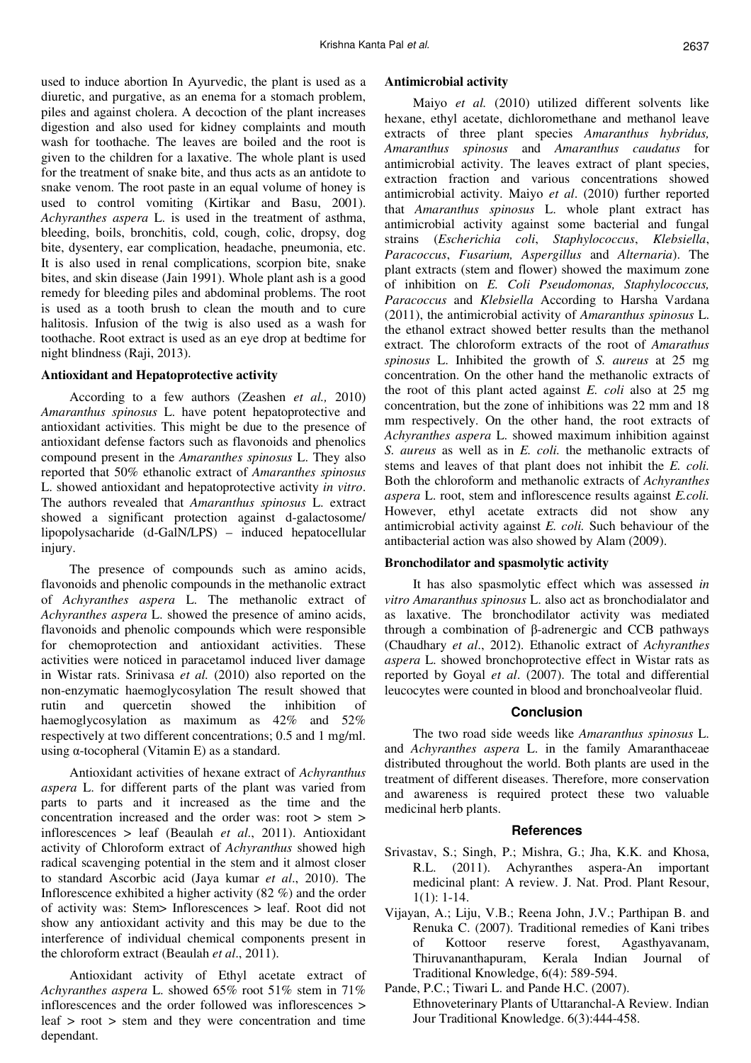used to induce abortion In Ayurvedic, the plant is used as a diuretic, and purgative, as an enema for a stomach problem, piles and against cholera. A decoction of the plant increases digestion and also used for kidney complaints and mouth wash for toothache. The leaves are boiled and the root is given to the children for a laxative. The whole plant is used for the treatment of snake bite, and thus acts as an antidote to snake venom. The root paste in an equal volume of honey is used to control vomiting (Kirtikar and Basu, 2001). *Achyranthes aspera* L. is used in the treatment of asthma, bleeding, boils, bronchitis, cold, cough, colic, dropsy, dog bite, dysentery, ear complication, headache, pneumonia, etc. It is also used in renal complications, scorpion bite, snake bites, and skin disease (Jain 1991). Whole plant ash is a good remedy for bleeding piles and abdominal problems. The root is used as a tooth brush to clean the mouth and to cure halitosis. Infusion of the twig is also used as a wash for toothache. Root extract is used as an eye drop at bedtime for night blindness (Raji, 2013).

### **Antioxidant and Hepatoprotective activity**

According to a few authors (Zeashen *et al.,* 2010) *Amaranthus spinosus* L. have potent hepatoprotective and antioxidant activities. This might be due to the presence of antioxidant defense factors such as flavonoids and phenolics compound present in the *Amaranthes spinosus* L. They also reported that 50% ethanolic extract of *Amaranthes spinosus* L. showed antioxidant and hepatoprotective activity *in vitro*. The authors revealed that *Amaranthus spinosus* L. extract showed a significant protection against d-galactosome/ lipopolysacharide (d-GalN/LPS) – induced hepatocellular injury.

The presence of compounds such as amino acids, flavonoids and phenolic compounds in the methanolic extract of *Achyranthes aspera* L. The methanolic extract of *Achyranthes aspera* L. showed the presence of amino acids, flavonoids and phenolic compounds which were responsible for chemoprotection and antioxidant activities. These activities were noticed in paracetamol induced liver damage in Wistar rats. Srinivasa *et al.* (2010) also reported on the non-enzymatic haemoglycosylation The result showed that rutin and quercetin showed the inhibition of haemoglycosylation as maximum as 42% and 52% respectively at two different concentrations; 0.5 and 1 mg/ml. using α-tocopheral (Vitamin E) as a standard.

Antioxidant activities of hexane extract of *Achyranthus aspera* L. for different parts of the plant was varied from parts to parts and it increased as the time and the concentration increased and the order was: root > stem > inflorescences > leaf (Beaulah *et al*., 2011). Antioxidant activity of Chloroform extract of *Achyranthus* showed high radical scavenging potential in the stem and it almost closer to standard Ascorbic acid (Jaya kumar *et al*., 2010). The Inflorescence exhibited a higher activity (82 %) and the order of activity was: Stem> Inflorescences > leaf. Root did not show any antioxidant activity and this may be due to the interference of individual chemical components present in the chloroform extract (Beaulah *et al*., 2011).

Antioxidant activity of Ethyl acetate extract of *Achyranthes aspera* L. showed 65% root 51% stem in 71% inflorescences and the order followed was inflorescences > leaf > root > stem and they were concentration and time dependant.

#### **Antimicrobial activity**

Maiyo *et al.* (2010) utilized different solvents like hexane, ethyl acetate, dichloromethane and methanol leave extracts of three plant species *Amaranthus hybridus, Amaranthus spinosus* and *Amaranthus caudatus* for antimicrobial activity. The leaves extract of plant species, extraction fraction and various concentrations showed antimicrobial activity. Maiyo *et al*. (2010) further reported that *Amaranthus spinosus* L. whole plant extract has antimicrobial activity against some bacterial and fungal strains (*Escherichia coli*, *Staphylococcus*, *Klebsiella*, *Paracoccus*, *Fusarium, Aspergillus* and *Alternaria*). The plant extracts (stem and flower) showed the maximum zone of inhibition on *E. Coli Pseudomonas, Staphylococcus, Paracoccus* and *Klebsiella* According to Harsha Vardana (2011), the antimicrobial activity of *Amaranthus spinosus* L. the ethanol extract showed better results than the methanol extract. The chloroform extracts of the root of *Amarathus spinosus* L. Inhibited the growth of *S. aureus* at 25 mg concentration. On the other hand the methanolic extracts of the root of this plant acted against *E. coli* also at 25 mg concentration, but the zone of inhibitions was 22 mm and 18 mm respectively. On the other hand, the root extracts of *Achyranthes aspera* L. showed maximum inhibition against *S. aureus* as well as in *E. coli.* the methanolic extracts of stems and leaves of that plant does not inhibit the *E. coli.*  Both the chloroform and methanolic extracts of *Achyranthes aspera* L. root, stem and inflorescence results against *E.coli.*  However, ethyl acetate extracts did not show any antimicrobial activity against *E. coli.* Such behaviour of the antibacterial action was also showed by Alam (2009).

### **Bronchodilator and spasmolytic activity**

It has also spasmolytic effect which was assessed *in vitro Amaranthus spinosus* L. also act as bronchodialator and as laxative. The bronchodilator activity was mediated through a combination of β-adrenergic and CCB pathways (Chaudhary *et al*., 2012). Ethanolic extract of *Achyranthes aspera* L. showed bronchoprotective effect in Wistar rats as reported by Goyal *et al*. (2007). The total and differential leucocytes were counted in blood and bronchoalveolar fluid.

# **Conclusion**

The two road side weeds like *Amaranthus spinosus* L. and *Achyranthes aspera* L. in the family Amaranthaceae distributed throughout the world. Both plants are used in the treatment of different diseases. Therefore, more conservation and awareness is required protect these two valuable medicinal herb plants.

### **References**

- Srivastav, S.; Singh, P.; Mishra, G.; Jha, K.K. and Khosa, R.L. (2011). Achyranthes aspera-An important medicinal plant: A review. J. Nat. Prod. Plant Resour, 1(1): 1-14.
- Vijayan, A.; Liju, V.B.; Reena John, J.V.; Parthipan B. and Renuka C. (2007). Traditional remedies of Kani tribes of Kottoor reserve forest, Agasthyavanam, Thiruvananthapuram, Kerala Indian Journal of Traditional Knowledge, 6(4): 589-594.
- Pande, P.C.; Tiwari L. and Pande H.C. (2007). Ethnoveterinary Plants of Uttaranchal-A Review. Indian Jour Traditional Knowledge. 6(3):444-458.